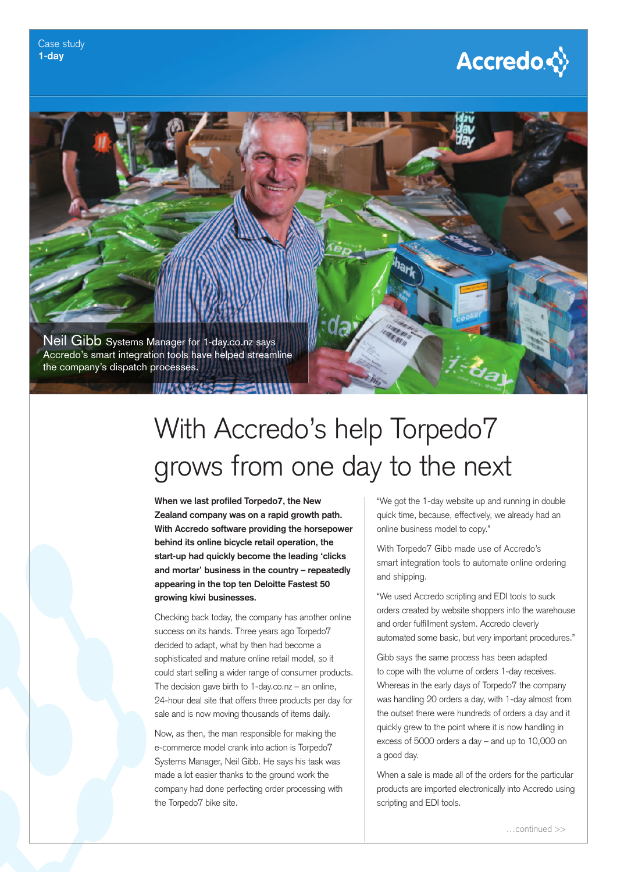## **Accredo☆**



# With Accredo's help Torpedo7 grows from one day to the next

**When we last profiled Torpedo7, the New Zealand company was on a rapid growth path. With Accredo software providing the horsepower behind its online bicycle retail operation, the start-up had quickly become the leading 'clicks and mortar' business in the country – repeatedly appearing in the top ten Deloitte Fastest 50 growing kiwi businesses.**

Checking back today, the company has another online success on its hands. Three years ago Torpedo7 decided to adapt, what by then had become a sophisticated and mature online retail model, so it could start selling a wider range of consumer products. The decision gave birth to 1-day.co.nz – an online, 24-hour deal site that offers three products per day for sale and is now moving thousands of items daily.

Now, as then, the man responsible for making the e-commerce model crank into action is Torpedo7 Systems Manager, Neil Gibb. He says his task was made a lot easier thanks to the ground work the company had done perfecting order processing with the Torpedo7 bike site.

"We got the 1-day website up and running in double quick time, because, effectively, we already had an online business model to copy."

With Torpedo7 Gibb made use of Accredo's smart integration tools to automate online ordering and shipping.

"We used Accredo scripting and EDI tools to suck orders created by website shoppers into the warehouse and order fulfillment system. Accredo cleverly automated some basic, but very important procedures."

Gibb says the same process has been adapted to cope with the volume of orders 1-day receives. Whereas in the early days of Torpedo7 the company was handling 20 orders a day, with 1-day almost from the outset there were hundreds of orders a day and it quickly grew to the point where it is now handling in excess of 5000 orders a day – and up to 10,000 on a good day.

When a sale is made all of the orders for the particular products are imported electronically into Accredo using scripting and EDI tools.